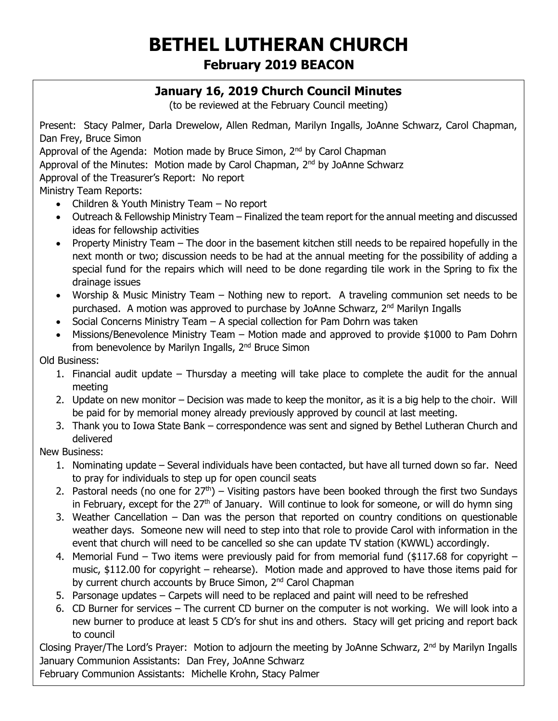# **BETHEL LUTHERAN CHURCH February 2019 BEACON**

### **January 16, 2019 Church Council Minutes**

(to be reviewed at the February Council meeting)

Present: Stacy Palmer, Darla Drewelow, Allen Redman, Marilyn Ingalls, JoAnne Schwarz, Carol Chapman, Dan Frey, Bruce Simon

Approval of the Agenda: Motion made by Bruce Simon, 2<sup>nd</sup> by Carol Chapman

Approval of the Minutes: Motion made by Carol Chapman, 2<sup>nd</sup> by JoAnne Schwarz

Approval of the Treasurer's Report: No report

Ministry Team Reports:

- Children & Youth Ministry Team No report
- Outreach & Fellowship Ministry Team Finalized the team report for the annual meeting and discussed ideas for fellowship activities
- Property Ministry Team The door in the basement kitchen still needs to be repaired hopefully in the next month or two; discussion needs to be had at the annual meeting for the possibility of adding a special fund for the repairs which will need to be done regarding tile work in the Spring to fix the drainage issues
- Worship & Music Ministry Team Nothing new to report. A traveling communion set needs to be purchased. A motion was approved to purchase by JoAnne Schwarz, 2<sup>nd</sup> Marilyn Ingalls
- Social Concerns Ministry Team A special collection for Pam Dohrn was taken
- Missions/Benevolence Ministry Team Motion made and approved to provide \$1000 to Pam Dohrn from benevolence by Marilyn Ingalls, 2<sup>nd</sup> Bruce Simon

Old Business:

- 1. Financial audit update Thursday a meeting will take place to complete the audit for the annual meeting
- 2. Update on new monitor Decision was made to keep the monitor, as it is a big help to the choir. Will be paid for by memorial money already previously approved by council at last meeting.
- 3. Thank you to Iowa State Bank correspondence was sent and signed by Bethel Lutheran Church and delivered

New Business:

- 1. Nominating update Several individuals have been contacted, but have all turned down so far. Need to pray for individuals to step up for open council seats
- 2. Pastoral needs (no one for  $27<sup>th</sup>$ ) Visiting pastors have been booked through the first two Sundays in February, except for the  $27<sup>th</sup>$  of January. Will continue to look for someone, or will do hymn sing
- 3. Weather Cancellation Dan was the person that reported on country conditions on questionable weather days. Someone new will need to step into that role to provide Carol with information in the event that church will need to be cancelled so she can update TV station (KWWL) accordingly.
- 4. Memorial Fund Two items were previously paid for from memorial fund (\$117.68 for copyright music, \$112.00 for copyright – rehearse). Motion made and approved to have those items paid for by current church accounts by Bruce Simon, 2<sup>nd</sup> Carol Chapman
- 5. Parsonage updates Carpets will need to be replaced and paint will need to be refreshed
- 6. CD Burner for services The current CD burner on the computer is not working. We will look into a new burner to produce at least 5 CD's for shut ins and others. Stacy will get pricing and report back to council

Closing Prayer/The Lord's Prayer: Motion to adjourn the meeting by JoAnne Schwarz, 2<sup>nd</sup> by Marilyn Ingalls January Communion Assistants: Dan Frey, JoAnne Schwarz

February Communion Assistants: Michelle Krohn, Stacy Palmer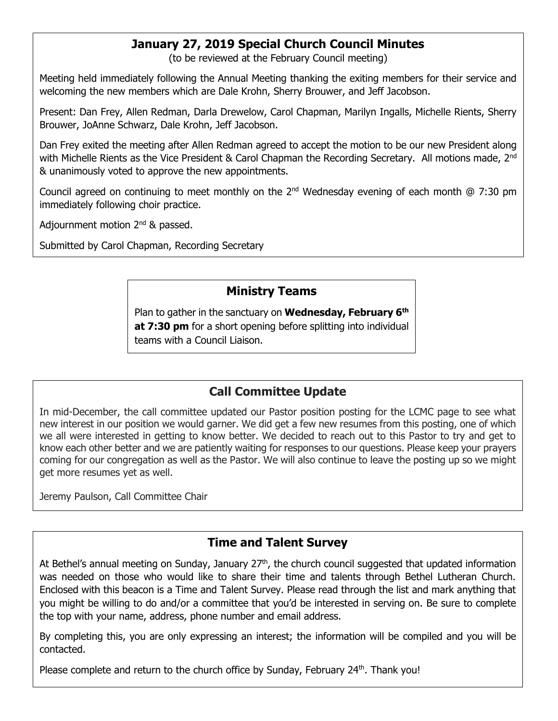### **January 27, 2019 Special Church Council Minutes**

(to be reviewed at the February Council meeting)

Meeting held immediately following the Annual Meeting thanking the exiting members for their service and welcoming the new members which are Dale Krohn, Sherry Brouwer, and Jeff Jacobson.

Present: Dan Frey, Allen Redman, Darla Drewelow, Carol Chapman, Marilyn Ingalls, Michelle Rients, Sherry Brouwer, JoAnne Schwarz, Dale Krohn, Jeff Jacobson.

Dan Frey exited the meeting after Allen Redman agreed to accept the motion to be our new President along with Michelle Rients as the Vice President & Carol Chapman the Recording Secretary. All motions made, 2<sup>nd</sup> & unanimously voted to approve the new appointments.

Council agreed on continuing to meet monthly on the  $2^{nd}$  Wednesday evening of each month @ 7:30 pm immediately following choir practice.

Adjournment motion  $2^{nd}$  & passed.

Submitted by Carol Chapman, Recording Secretary

### **Ministry Teams**

Plan to gather in the sanctuary on **Wednesday, February 6 th at 7:30 pm** for a short opening before splitting into individual teams with a Council Liaison.

# **Call Committee Update**

In mid-December, the call committee updated our Pastor position posting for the LCMC page to see what new interest in our position we would garner. We did get a few new resumes from this posting, one of which we all were interested in getting to know better. We decided to reach out to this Pastor to try and get to know each other better and we are patiently waiting for responses to our questions. Please keep your prayers coming for our congregation as well as the Pastor. We will also continue to leave the posting up so we might get more resumes yet as well.

Jeremy Paulson, Call Committee Chair

#### **Time and Talent Survey**

At Bethel's annual meeting on Sunday, January  $27<sup>th</sup>$ , the church council suggested that updated information was needed on those who would like to share their time and talents through Bethel Lutheran Church. Enclosed with this beacon is a Time and Talent Survey. Please read through the list and mark anything that you might be willing to do and/or a committee that you'd be interested in serving on. Be sure to complete the top with your name, address, phone number and email address.

By completing this, you are only expressing an interest; the information will be compiled and you will be contacted.

Please complete and return to the church office by Sunday, February  $24<sup>th</sup>$ . Thank you!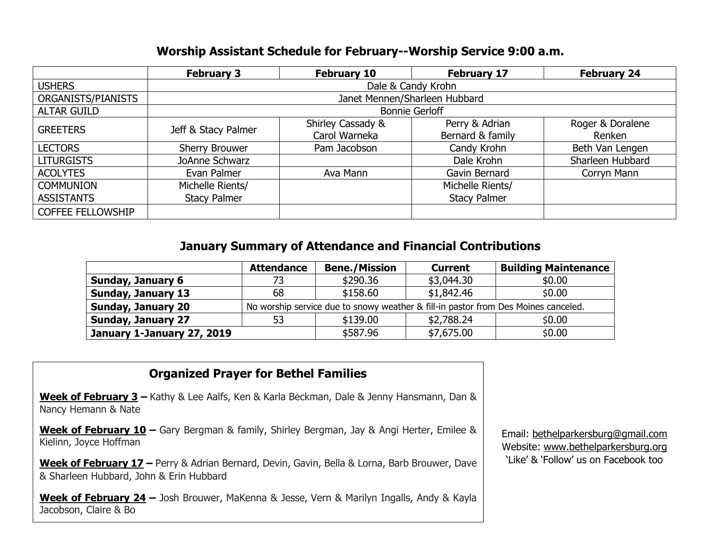#### **Worship Assistant Schedule for February--Worship Service 9:00 a.m.**

|                          | <b>February 3</b>             | <b>February 10</b> | <b>February 17</b>  | <b>February 24</b> |  |  |
|--------------------------|-------------------------------|--------------------|---------------------|--------------------|--|--|
| <b>USHERS</b>            | Dale & Candy Krohn            |                    |                     |                    |  |  |
| ORGANISTS/PIANISTS       | Janet Mennen/Sharleen Hubbard |                    |                     |                    |  |  |
| <b>ALTAR GUILD</b>       | <b>Bonnie Gerloff</b>         |                    |                     |                    |  |  |
| <b>GREETERS</b>          | Jeff & Stacy Palmer           | Shirley Cassady &  | Perry & Adrian      | Roger & Doralene   |  |  |
|                          |                               | Carol Warneka      | Bernard & family    | Renken             |  |  |
| <b>LECTORS</b>           | Sherry Brouwer                | Pam Jacobson       | Candy Krohn         | Beth Van Lengen    |  |  |
| <b>LITURGISTS</b>        | JoAnne Schwarz                |                    | Dale Krohn          | Sharleen Hubbard   |  |  |
| <b>ACOLYTES</b>          | Evan Palmer                   | Ava Mann           | Gavin Bernard       | Corryn Mann        |  |  |
| <b>COMMUNION</b>         | Michelle Rients/              |                    | Michelle Rients/    |                    |  |  |
| <b>ASSISTANTS</b>        | <b>Stacy Palmer</b>           |                    | <b>Stacy Palmer</b> |                    |  |  |
| <b>COFFEE FELLOWSHIP</b> |                               |                    |                     |                    |  |  |

#### **January Summary of Attendance and Financial Contributions**

|                            | <b>Attendance</b>                                                                  | <b>Bene./Mission</b> | <b>Current</b> | <b>Building Maintenance</b> |  |
|----------------------------|------------------------------------------------------------------------------------|----------------------|----------------|-----------------------------|--|
| <b>Sunday, January 6</b>   |                                                                                    | \$290.36             | \$3,044.30     | \$0.00                      |  |
| <b>Sunday, January 13</b>  | 68                                                                                 | \$158.60             | \$1,842.46     | \$0.00                      |  |
| <b>Sunday, January 20</b>  | No worship service due to snowy weather & fill-in pastor from Des Moines canceled. |                      |                |                             |  |
| <b>Sunday, January 27</b>  | 53                                                                                 | \$139.00             | \$2,788.24     | \$0.00                      |  |
| January 1-January 27, 2019 |                                                                                    | \$587.96             | \$7,675.00     | \$0.00                      |  |

# **Organized Prayer for Bethel Families**

**Week of February 3 –** Kathy & Lee Aalfs, Ken & Karla Beckman, Dale & Jenny Hansmann, Dan & Nancy Hemann & Nate

**Week of February 10 –** Gary Bergman & family, Shirley Bergman, Jay & Angi Herter, Emilee & Kielinn, Joyce Hoffman

**Week of February 17 –** Perry & Adrian Bernard, Devin, Gavin, Bella & Lorna, Barb Brouwer, Dave & Sharleen Hubbard, John & Erin Hubbard

**Week of February 24 –** Josh Brouwer, MaKenna & Jesse, Vern & Marilyn Ingalls, Andy & Kayla Jacobson, Claire & Bo

Email: [bethelparkersburg@gmail.com](mailto:bethelparkersburg@gmail.com) Website: [www.bethelparkersburg.org](http://www.bethelparkersburg.org/) 'Like' & 'Follow' us on Facebook too